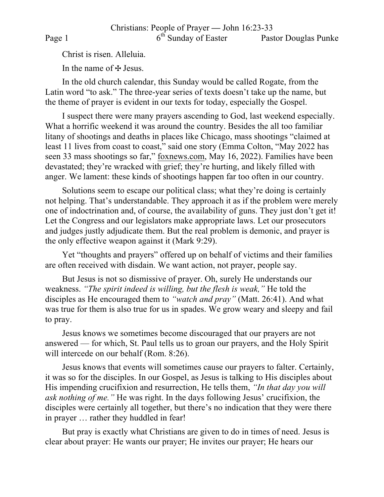Christ is risen. Alleluia.

In the name of  $\pm$  Jesus.

In the old church calendar, this Sunday would be called Rogate, from the Latin word "to ask." The three-year series of texts doesn't take up the name, but the theme of prayer is evident in our texts for today, especially the Gospel.

I suspect there were many prayers ascending to God, last weekend especially. What a horrific weekend it was around the country. Besides the all too familiar litany of shootings and deaths in places like Chicago, mass shootings "claimed at least 11 lives from coast to coast," said one story (Emma Colton, "May 2022 has seen 33 mass shootings so far," foxnews.com, May 16, 2022). Families have been devastated; they're wracked with grief; they're hurting, and likely filled with anger. We lament: these kinds of shootings happen far too often in our country.

Solutions seem to escape our political class; what they're doing is certainly not helping. That's understandable. They approach it as if the problem were merely one of indoctrination and, of course, the availability of guns. They just don't get it! Let the Congress and our legislators make appropriate laws. Let our prosecutors and judges justly adjudicate them. But the real problem is demonic, and prayer is the only effective weapon against it (Mark 9:29).

Yet "thoughts and prayers" offered up on behalf of victims and their families are often received with disdain. We want action, not prayer, people say.

But Jesus is not so dismissive of prayer. Oh, surely He understands our weakness. *"The spirit indeed is willing, but the flesh is weak,"* He told the disciples as He encouraged them to *"watch and pray"* (Matt. 26:41). And what was true for them is also true for us in spades. We grow weary and sleepy and fail to pray.

Jesus knows we sometimes become discouraged that our prayers are not answered — for which, St. Paul tells us to groan our prayers, and the Holy Spirit will intercede on our behalf (Rom. 8:26).

Jesus knows that events will sometimes cause our prayers to falter. Certainly, it was so for the disciples. In our Gospel, as Jesus is talking to His disciples about His impending crucifixion and resurrection, He tells them, *"In that day you will ask nothing of me."* He was right. In the days following Jesus' crucifixion, the disciples were certainly all together, but there's no indication that they were there in prayer … rather they huddled in fear!

But pray is exactly what Christians are given to do in times of need. Jesus is clear about prayer: He wants our prayer; He invites our prayer; He hears our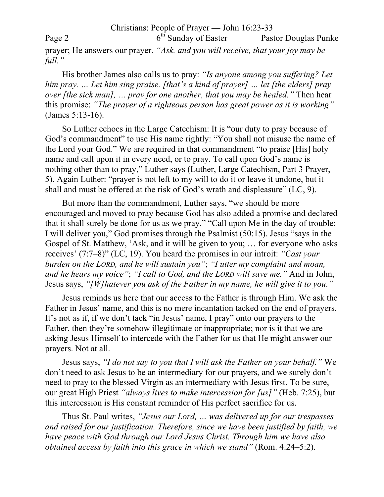## Christians: People of Prayer **—** John 16:23-33

Page 2 6<sup>th</sup> Sunday of Easter Pastor Douglas Punke

prayer; He answers our prayer. *"Ask, and you will receive, that your joy may be full."*

His brother James also calls us to pray: *"Is anyone among you suffering? Let him pray. … Let him sing praise. [that's a kind of prayer] … let [the elders] pray over [the sick man], … pray for one another, that you may be healed."* Then hear this promise: *"The prayer of a righteous person has great power as it is working"* (James 5:13-16).

So Luther echoes in the Large Catechism: It is "our duty to pray because of God's commandment" to use His name rightly: "You shall not misuse the name of the Lord your God." We are required in that commandment "to praise [His] holy name and call upon it in every need, or to pray. To call upon God's name is nothing other than to pray," Luther says (Luther, Large Catechism, Part 3 Prayer, 5). Again Luther: "prayer is not left to my will to do it or leave it undone, but it shall and must be offered at the risk of God's wrath and displeasure" (LC, 9).

But more than the commandment, Luther says, "we should be more encouraged and moved to pray because God has also added a promise and declared that it shall surely be done for us as we pray." "Call upon Me in the day of trouble; I will deliver you," God promises through the Psalmist (50:15). Jesus "says in the Gospel of St. Matthew, 'Ask, and it will be given to you; … for everyone who asks receives' (7:7–8)" (LC, 19). You heard the promises in our introit: *"Cast your burden on the LORD, and he will sustain you"*; *"I utter my complaint and moan, and he hears my voice"*; *"I call to God, and the LORD will save me."* And in John, Jesus says, *"[W]hatever you ask of the Father in my name, he will give it to you."*

Jesus reminds us here that our access to the Father is through Him. We ask the Father in Jesus' name, and this is no mere incantation tacked on the end of prayers. It's not as if, if we don't tack "in Jesus' name, I pray" onto our prayers to the Father, then they're somehow illegitimate or inappropriate; nor is it that we are asking Jesus Himself to intercede with the Father for us that He might answer our prayers. Not at all.

Jesus says, *"I do not say to you that I will ask the Father on your behalf."* We don't need to ask Jesus to be an intermediary for our prayers, and we surely don't need to pray to the blessed Virgin as an intermediary with Jesus first. To be sure, our great High Priest *"always lives to make intercession for [us]"* (Heb. 7:25), but this intercession is His constant reminder of His perfect sacrifice for us.

Thus St. Paul writes, *"Jesus our Lord, … was delivered up for our trespasses and raised for our justification. Therefore, since we have been justified by faith, we have peace with God through our Lord Jesus Christ. Through him we have also obtained access by faith into this grace in which we stand"* (Rom. 4:24–5:2).